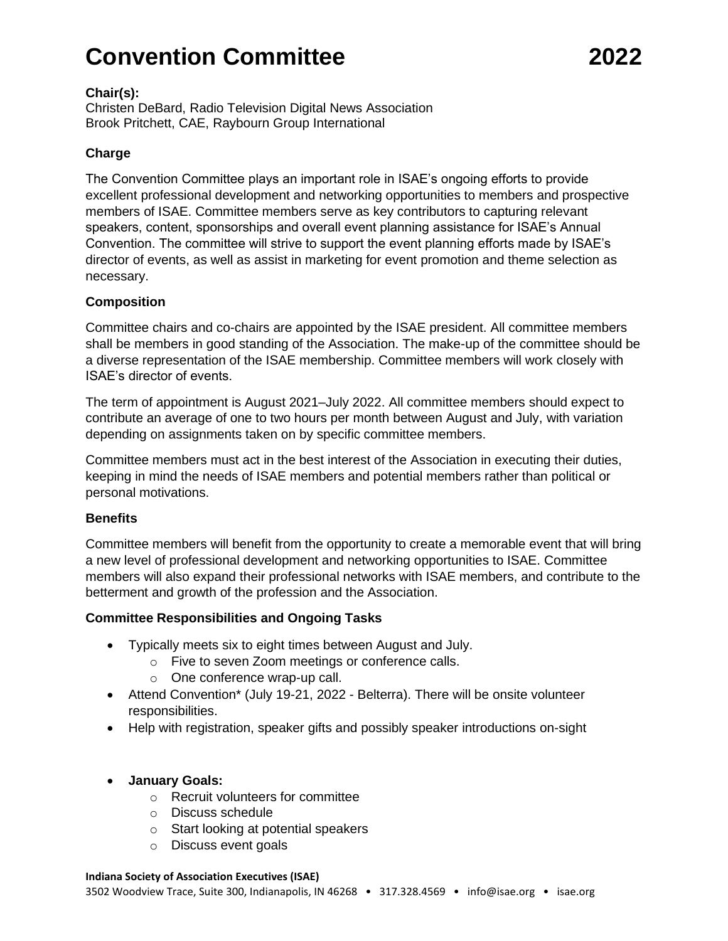# **Convention Committee 2022**

#### **Chair(s):**

Christen DeBard, Radio Television Digital News Association Brook Pritchett, CAE, Raybourn Group International

# **Charge**

The Convention Committee plays an important role in ISAE's ongoing efforts to provide excellent professional development and networking opportunities to members and prospective members of ISAE. Committee members serve as key contributors to capturing relevant speakers, content, sponsorships and overall event planning assistance for ISAE's Annual Convention. The committee will strive to support the event planning efforts made by ISAE's director of events, as well as assist in marketing for event promotion and theme selection as necessary.

### **Composition**

Committee chairs and co-chairs are appointed by the ISAE president. All committee members shall be members in good standing of the Association. The make-up of the committee should be a diverse representation of the ISAE membership. Committee members will work closely with ISAE's director of events.

The term of appointment is August 2021–July 2022. All committee members should expect to contribute an average of one to two hours per month between August and July, with variation depending on assignments taken on by specific committee members.

Committee members must act in the best interest of the Association in executing their duties, keeping in mind the needs of ISAE members and potential members rather than political or personal motivations.

# **Benefits**

Committee members will benefit from the opportunity to create a memorable event that will bring a new level of professional development and networking opportunities to ISAE. Committee members will also expand their professional networks with ISAE members, and contribute to the betterment and growth of the profession and the Association.

#### **Committee Responsibilities and Ongoing Tasks**

- Typically meets six to eight times between August and July.
	- o Five to seven Zoom meetings or conference calls.
		- o One conference wrap-up call.
- Attend Convention\* (July 19-21, 2022 Belterra). There will be onsite volunteer responsibilities.
- Help with registration, speaker gifts and possibly speaker introductions on-sight

# • **January Goals:**

- o Recruit volunteers for committee
- o Discuss schedule
- o Start looking at potential speakers
- o Discuss event goals

#### **Indiana Society of Association Executives (ISAE)**